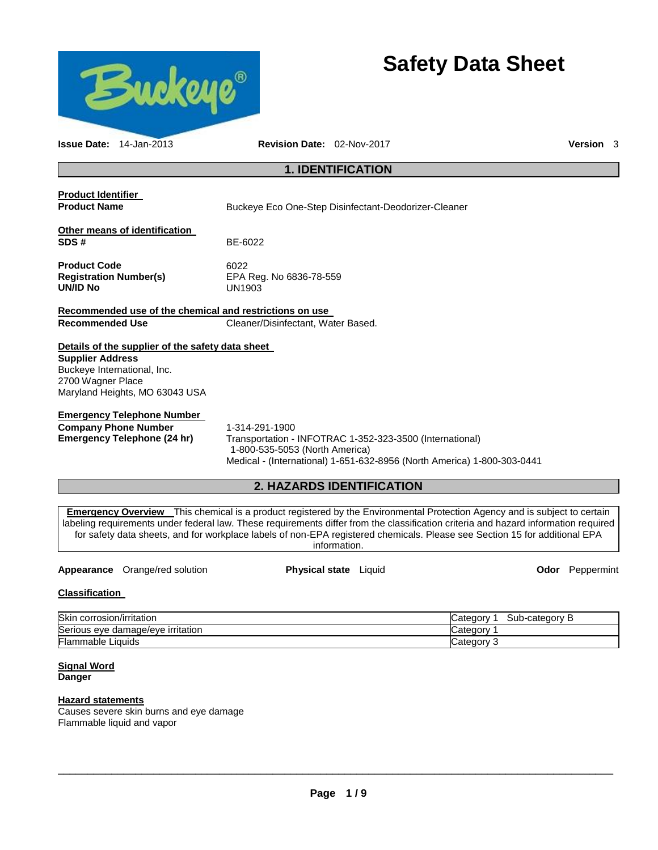

# **Classification**

| <b>Skin</b><br>corrosion/irritation    | Sub<br>Categor<br>b-category<br>77 |
|----------------------------------------|------------------------------------|
| Serious<br>s eye damage/eye irritation | <i>⊾</i> ategorٽ                   |
| <b>Flammable Liquids</b>               | ∵ ategoryټ                         |

**Signal Word Danger** 

## **Hazard statements**

Causes severe skin burns and eye damage Flammable liquid and vapor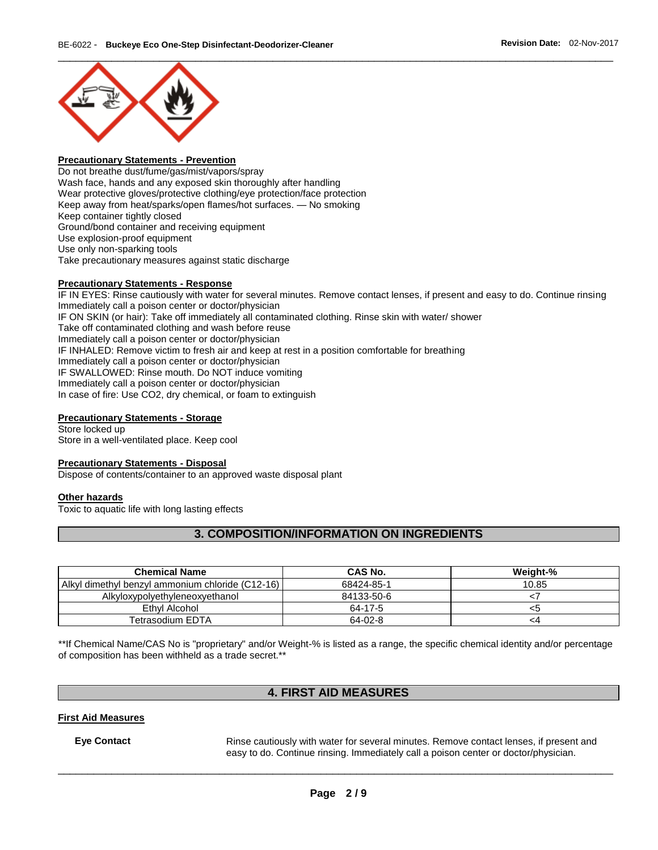

## **Precautionary Statements - Prevention**

Do not breathe dust/fume/gas/mist/vapors/spray Wash face, hands and any exposed skin thoroughly after handling Wear protective gloves/protective clothing/eye protection/face protection Keep away from heat/sparks/open flames/hot surfaces. — No smoking Keep container tightly closed Ground/bond container and receiving equipment Use explosion-proof equipment Use only non-sparking tools Take precautionary measures against static discharge

#### **Precautionary Statements - Response**

IF IN EYES: Rinse cautiously with water for several minutes. Remove contact lenses, if present and easy to do. Continue rinsing Immediately call a poison center or doctor/physician IF ON SKIN (or hair): Take off immediately all contaminated clothing. Rinse skin with water/ shower Take off contaminated clothing and wash before reuse Immediately call a poison center or doctor/physician IF INHALED: Remove victim to fresh air and keep at rest in a position comfortable for breathing Immediately call a poison center or doctor/physician IF SWALLOWED: Rinse mouth. Do NOT induce vomiting Immediately call a poison center or doctor/physician In case of fire: Use CO2, dry chemical, or foam to extinguish

#### **Precautionary Statements - Storage**

Store locked up Store in a well-ventilated place. Keep cool

#### **Precautionary Statements - Disposal**

Dispose of contents/container to an approved waste disposal plant

#### **Other hazards**

Toxic to aquatic life with long lasting effects

# **3. COMPOSITION/INFORMATION ON INGREDIENTS**

| <b>Chemical Name</b>                             | CAS No.    | Weight-% |
|--------------------------------------------------|------------|----------|
| Alkyl dimethyl benzyl ammonium chloride (C12-16) | 68424-85-1 | 10.85    |
| Alkyloxypolyethyleneoxyethanol                   | 84133-50-6 |          |
| Ethyl Alcohol                                    | 64-17-5    | <:       |
| Tetrasodium EDTA                                 | 64-02-8    | -4       |

\*\*If Chemical Name/CAS No is "proprietary" and/or Weight-% is listed as a range, the specific chemical identity and/or percentage of composition has been withheld as a trade secret.\*\*

# **4. FIRST AID MEASURES**

## **First Aid Measures**

**Eye Contact Rinse cautiously with water for several minutes. Remove contact lenses, if present and** easy to do. Continue rinsing. Immediately call a poison center or doctor/physician.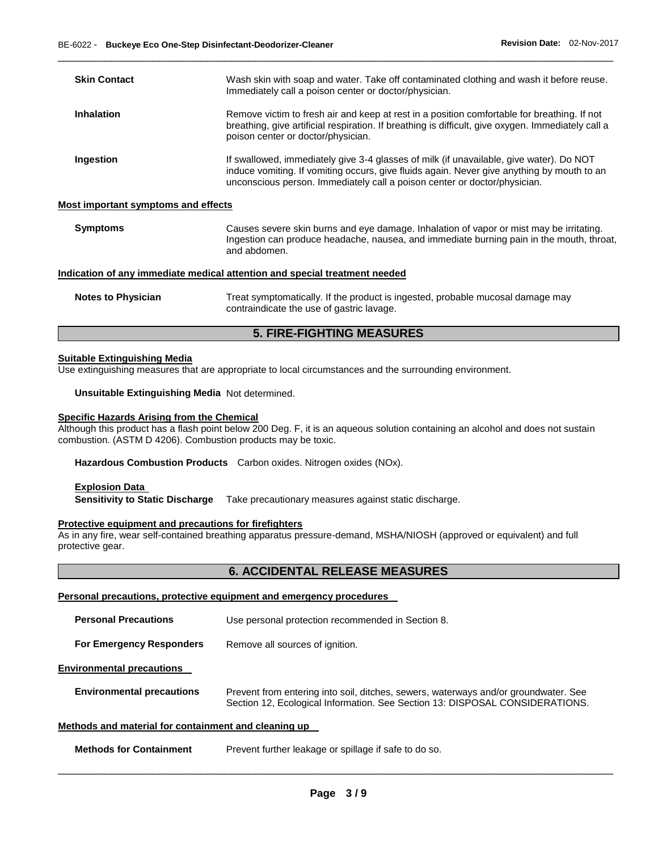| <b>Skin Contact</b>                                                        | Wash skin with soap and water. Take off contaminated clothing and wash it before reuse.<br>Immediately call a poison center or doctor/physician.                                                                                                                   |  |  |
|----------------------------------------------------------------------------|--------------------------------------------------------------------------------------------------------------------------------------------------------------------------------------------------------------------------------------------------------------------|--|--|
| <b>Inhalation</b>                                                          | Remove victim to fresh air and keep at rest in a position comfortable for breathing. If not<br>breathing, give artificial respiration. If breathing is difficult, give oxygen. Immediately call a<br>poison center or doctor/physician.                            |  |  |
| Ingestion                                                                  | If swallowed, immediately give 3-4 glasses of milk (if unavailable, give water). Do NOT<br>induce vomiting. If vomiting occurs, give fluids again. Never give anything by mouth to an<br>unconscious person. Immediately call a poison center or doctor/physician. |  |  |
| <b>Most important symptoms and effects</b>                                 |                                                                                                                                                                                                                                                                    |  |  |
| <b>Symptoms</b>                                                            | Causes severe skin burns and eye damage. Inhalation of vapor or mist may be irritating.<br>Ingestion can produce headache, nausea, and immediate burning pain in the mouth, throat,<br>and abdomen.                                                                |  |  |
| Indication of any immediate medical attention and special treatment needed |                                                                                                                                                                                                                                                                    |  |  |
| <b>Notes to Physician</b>                                                  | Treat symptomatically. If the product is ingested, probable mucosal damage may<br>contraindicate the use of gastric lavage.                                                                                                                                        |  |  |

\_\_\_\_\_\_\_\_\_\_\_\_\_\_\_\_\_\_\_\_\_\_\_\_\_\_\_\_\_\_\_\_\_\_\_\_\_\_\_\_\_\_\_\_\_\_\_\_\_\_\_\_\_\_\_\_\_\_\_\_\_\_\_\_\_\_\_\_\_\_\_\_\_\_\_\_\_\_\_\_\_\_\_\_\_\_\_\_\_\_\_\_\_

# **5. FIRE-FIGHTING MEASURES**

### **Suitable Extinguishing Media**

Use extinguishing measures that are appropriate to local circumstances and the surrounding environment.

**Unsuitable Extinguishing Media** Not determined.

# **Specific Hazards Arising from the Chemical**

Although this product has a flash point below 200 Deg. F, it is an aqueous solution containing an alcohol and does not sustain combustion. (ASTM D 4206). Combustion products may be toxic.

**Hazardous Combustion Products** Carbon oxides. Nitrogen oxides (NOx).

#### **Explosion Data Sensitivity to Static Discharge** Take precautionary measures against static discharge.

#### **Protective equipment and precautions for firefighters**

As in any fire, wear self-contained breathing apparatus pressure-demand, MSHA/NIOSH (approved or equivalent) and full protective gear.

# **6. ACCIDENTAL RELEASE MEASURES**

# **Personal precautions, protective equipment and emergency procedures**

| <b>Personal Precautions</b>      | Use personal protection recommended in Section 8.                                                                                                                   |
|----------------------------------|---------------------------------------------------------------------------------------------------------------------------------------------------------------------|
| <b>For Emergency Responders</b>  | Remove all sources of ignition.                                                                                                                                     |
| <b>Environmental precautions</b> |                                                                                                                                                                     |
| <b>Environmental precautions</b> | Prevent from entering into soil, ditches, sewers, waterways and/or groundwater. See<br>Section 12, Ecological Information. See Section 13: DISPOSAL CONSIDERATIONS. |
|                                  |                                                                                                                                                                     |

# **Methods and material for containment and cleaning up**

**Methods for Containment** Prevent further leakage or spillage if safe to do so.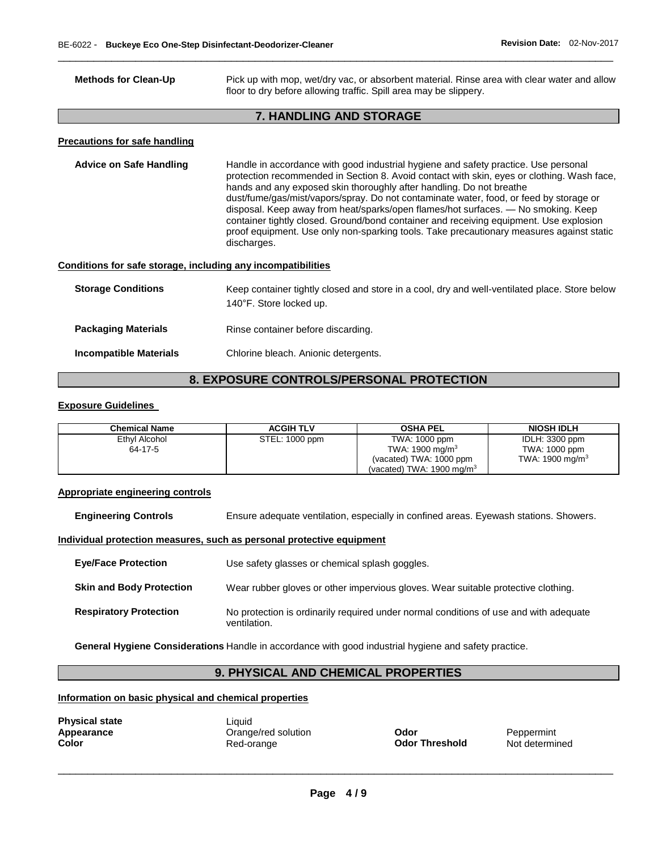| <b>Methods for Clean-Up</b>                                  | Pick up with mop, wet/dry vac, or absorbent material. Rinse area with clear water and allow<br>floor to dry before allowing traffic. Spill area may be slippery.                                                                                                                                                                                                                                                                                                                                                                                                                                                                              |  |  |
|--------------------------------------------------------------|-----------------------------------------------------------------------------------------------------------------------------------------------------------------------------------------------------------------------------------------------------------------------------------------------------------------------------------------------------------------------------------------------------------------------------------------------------------------------------------------------------------------------------------------------------------------------------------------------------------------------------------------------|--|--|
|                                                              | <b>7. HANDLING AND STORAGE</b>                                                                                                                                                                                                                                                                                                                                                                                                                                                                                                                                                                                                                |  |  |
| <b>Precautions for safe handling</b>                         |                                                                                                                                                                                                                                                                                                                                                                                                                                                                                                                                                                                                                                               |  |  |
| <b>Advice on Safe Handling</b>                               | Handle in accordance with good industrial hygiene and safety practice. Use personal<br>protection recommended in Section 8. Avoid contact with skin, eyes or clothing. Wash face,<br>hands and any exposed skin thoroughly after handling. Do not breathe<br>dust/fume/gas/mist/vapors/spray. Do not contaminate water, food, or feed by storage or<br>disposal. Keep away from heat/sparks/open flames/hot surfaces. — No smoking. Keep<br>container tightly closed. Ground/bond container and receiving equipment. Use explosion<br>proof equipment. Use only non-sparking tools. Take precautionary measures against static<br>discharges. |  |  |
| Conditions for safe storage, including any incompatibilities |                                                                                                                                                                                                                                                                                                                                                                                                                                                                                                                                                                                                                                               |  |  |
| <b>Storage Conditions</b>                                    | Keep container tightly closed and store in a cool, dry and well-ventilated place. Store below<br>140°F. Store locked up.                                                                                                                                                                                                                                                                                                                                                                                                                                                                                                                      |  |  |
| <b>Packaging Materials</b>                                   | Rinse container before discarding.                                                                                                                                                                                                                                                                                                                                                                                                                                                                                                                                                                                                            |  |  |
| <b>Incompatible Materials</b>                                | Chlorine bleach. Anionic detergents.                                                                                                                                                                                                                                                                                                                                                                                                                                                                                                                                                                                                          |  |  |

\_\_\_\_\_\_\_\_\_\_\_\_\_\_\_\_\_\_\_\_\_\_\_\_\_\_\_\_\_\_\_\_\_\_\_\_\_\_\_\_\_\_\_\_\_\_\_\_\_\_\_\_\_\_\_\_\_\_\_\_\_\_\_\_\_\_\_\_\_\_\_\_\_\_\_\_\_\_\_\_\_\_\_\_\_\_\_\_\_\_\_\_\_

# **8. EXPOSURE CONTROLS/PERSONAL PROTECTION**

### **Exposure Guidelines**

| Chemical Name | <b>ACGIH TLV</b> | <b>OSHA PEL</b>                      | <b>NIOSH IDLH</b>  |
|---------------|------------------|--------------------------------------|--------------------|
| Ethyl Alcohol | STEL: 1000 ppm   | TWA: 1000 ppm                        | IDLH: 3300 ppm     |
| 64-17-5       |                  | TWA: 1900 mg/m <sup>3</sup>          | TWA: 1000 ppm      |
|               |                  | (vacated) TWA: 1000 ppm              | TWA: 1900 mg/m $3$ |
|               |                  | (vacated) TWA: $1900 \text{ mg/m}^3$ |                    |

#### **Appropriate engineering controls**

**Engineering Controls** Ensure adequate ventilation, especially in confined areas. Eyewash stations. Showers.

## **Individual protection measures, such as personal protective equipment**

| <b>Eve/Face Protection</b>      | Use safety glasses or chemical splash goggles.                                                        |
|---------------------------------|-------------------------------------------------------------------------------------------------------|
| <b>Skin and Body Protection</b> | Wear rubber gloves or other impervious gloves. Wear suitable protective clothing.                     |
| <b>Respiratory Protection</b>   | No protection is ordinarily required under normal conditions of use and with adequate<br>ventilation. |

**General Hygiene Considerations** Handle in accordance with good industrial hygiene and safety practice.

# **9. PHYSICAL AND CHEMICAL PROPERTIES**

# **Information on basic physical and chemical properties**

| <b>Physical state</b> | Liquid |
|-----------------------|--------|
| Appearance            | Orange |
| Color                 | Red-or |

**APPENDING CODE SOLUTE:**<br> **APPENDING CONOR CONOR CONOR CONOR CONOR CONOR CONOR CONOR PROTEIT OF ORIGINAL CONOR CONOR CONOR CONOR CONOR C**<br> **CONOR CONOR CONOR CONOR CONOR CONOR CONOR CONOR CONOR CONOR CONOR CONOR CONOR CONO Odor Threshold**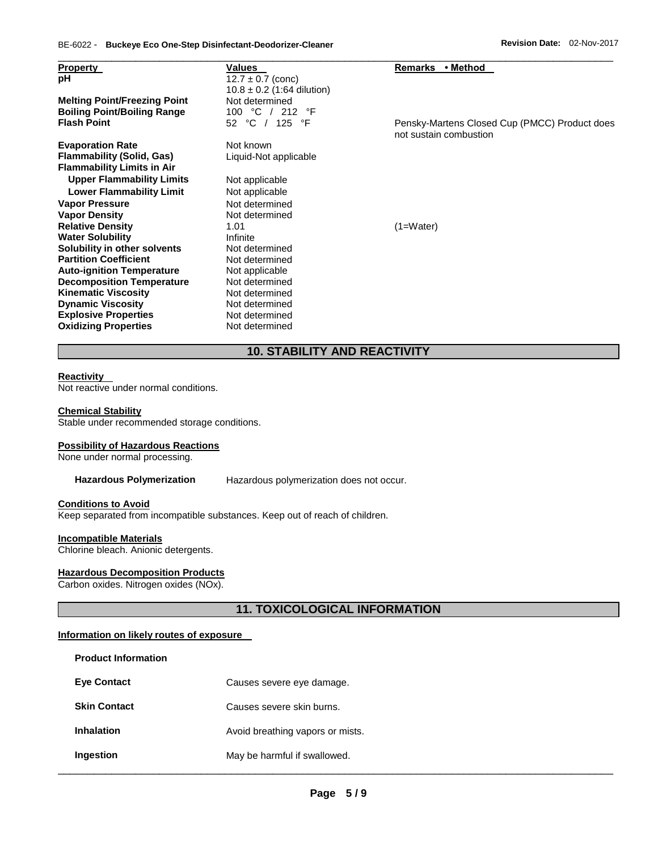| <b>Property</b>                                                       | <b>Values</b>                  | Remarks • Method                                                        |
|-----------------------------------------------------------------------|--------------------------------|-------------------------------------------------------------------------|
| рH                                                                    | $12.7 \pm 0.7$ (conc)          |                                                                         |
|                                                                       | $10.8 \pm 0.2$ (1:64 dilution) |                                                                         |
| <b>Melting Point/Freezing Point</b>                                   | Not determined                 |                                                                         |
| <b>Boiling Point/Boiling Range</b>                                    | 100 °C / 212 °F                |                                                                         |
| <b>Flash Point</b>                                                    | 52 °C / 125 °F                 | Pensky-Martens Closed Cup (PMCC) Product does<br>not sustain combustion |
| <b>Evaporation Rate</b>                                               | Not known                      |                                                                         |
| <b>Flammability (Solid, Gas)</b><br><b>Flammability Limits in Air</b> | Liquid-Not applicable          |                                                                         |
| <b>Upper Flammability Limits</b>                                      | Not applicable                 |                                                                         |
| <b>Lower Flammability Limit</b>                                       | Not applicable                 |                                                                         |
| <b>Vapor Pressure</b>                                                 | Not determined                 |                                                                         |
| <b>Vapor Density</b>                                                  | Not determined                 |                                                                         |
| <b>Relative Density</b>                                               | 1.01                           | $(1=Water)$                                                             |
| <b>Water Solubility</b>                                               | Infinite                       |                                                                         |
| Solubility in other solvents                                          | Not determined                 |                                                                         |
| <b>Partition Coefficient</b>                                          | Not determined                 |                                                                         |
| <b>Auto-ignition Temperature</b>                                      | Not applicable                 |                                                                         |
| <b>Decomposition Temperature</b>                                      | Not determined                 |                                                                         |
| <b>Kinematic Viscosity</b>                                            | Not determined                 |                                                                         |
| <b>Dynamic Viscosity</b>                                              | Not determined                 |                                                                         |
| <b>Explosive Properties</b>                                           | Not determined                 |                                                                         |
| <b>Oxidizing Properties</b>                                           | Not determined                 |                                                                         |

# **10. STABILITY AND REACTIVITY**

### **Reactivity**

Not reactive under normal conditions.

#### **Chemical Stability**

Stable under recommended storage conditions.

# **Possibility of Hazardous Reactions**

None under normal processing.

**Hazardous Polymerization** Hazardous polymerization does not occur.

#### **Conditions to Avoid**

Keep separated from incompatible substances. Keep out of reach of children.

# **Incompatible Materials**

Chlorine bleach. Anionic detergents.

# **Hazardous Decomposition Products**

Carbon oxides. Nitrogen oxides (NOx).

# **11. TOXICOLOGICAL INFORMATION**

## **Information on likely routes of exposure**

| <b>Product Information</b> |                                  |
|----------------------------|----------------------------------|
| <b>Eve Contact</b>         | Causes severe eye damage.        |
| <b>Skin Contact</b>        | Causes severe skin burns.        |
| <b>Inhalation</b>          | Avoid breathing vapors or mists. |
| Ingestion                  | May be harmful if swallowed.     |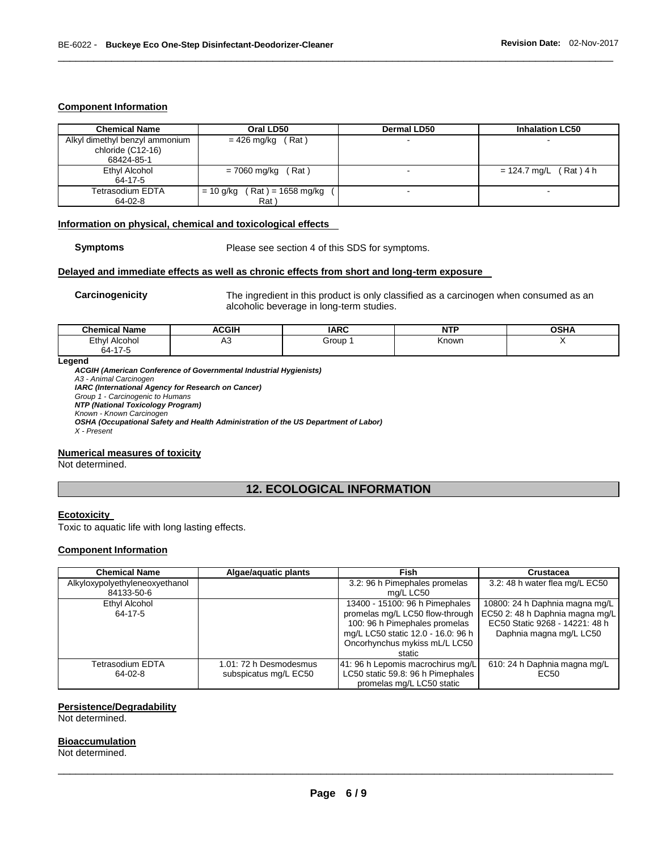#### **Component Information**

| <b>Chemical Name</b>                                              | Oral LD50                                    | Dermal LD50 | <b>Inhalation LC50</b>   |
|-------------------------------------------------------------------|----------------------------------------------|-------------|--------------------------|
| Alkyl dimethyl benzyl ammonium<br>chloride (C12-16)<br>68424-85-1 | $= 426$ mg/kg (Rat)                          |             | $\overline{\phantom{a}}$ |
| Ethyl Alcohol<br>64-17-5                                          | (Rat)<br>= 7060 mg/kg                        |             | $= 124.7$ mg/L (Rat) 4 h |
| Tetrasodium EDTA<br>64-02-8                                       | $($ Rat ) = 1658 mg/kg<br>$= 10$ g/kg<br>Rat |             | $\sim$                   |

\_\_\_\_\_\_\_\_\_\_\_\_\_\_\_\_\_\_\_\_\_\_\_\_\_\_\_\_\_\_\_\_\_\_\_\_\_\_\_\_\_\_\_\_\_\_\_\_\_\_\_\_\_\_\_\_\_\_\_\_\_\_\_\_\_\_\_\_\_\_\_\_\_\_\_\_\_\_\_\_\_\_\_\_\_\_\_\_\_\_\_\_\_

# **Information on physical, chemical and toxicological effects**

**Symptoms** Please see section 4 of this SDS for symptoms.

#### **Delayed and immediate effects as well as chronic effects from short and long-term exposure**

**Carcinogenicity** The ingredient in this product is only classified as a carcinogen when consumed as an alcoholic beverage in long-term studies.

| <b>Chemical Name</b>                   | ACGIH | <b>IARC</b> | NTD<br>. | <b>OCUA</b><br>אחכט |
|----------------------------------------|-------|-------------|----------|---------------------|
| Ethyl<br>Alcohol<br>$ -$<br>64-<br>. - | ∼     | Group       | Knowr    |                     |

**Legend** 

*ACGIH (American Conference of Governmental Industrial Hygienists) A3 - Animal Carcinogen IARC (International Agency for Research on Cancer) Group 1 - Carcinogenic to Humans NTP (National Toxicology Program) Known - Known Carcinogen OSHA (Occupational Safety and Health Administration of the US Department of Labor) X - Present* 

### **Numerical measures of toxicity**

Not determined.

# **12. ECOLOGICAL INFORMATION**

#### **Ecotoxicity**

Toxic to aquatic life with long lasting effects.

# **Component Information**

| <b>Chemical Name</b>                         | Algae/aguatic plants                            | Fish                                                                                                                                                                                | Crustacea                                                                                                                      |
|----------------------------------------------|-------------------------------------------------|-------------------------------------------------------------------------------------------------------------------------------------------------------------------------------------|--------------------------------------------------------------------------------------------------------------------------------|
| Alkyloxypolyethyleneoxyethanol<br>84133-50-6 |                                                 | 3.2: 96 h Pimephales promelas<br>mg/L LC50                                                                                                                                          | 3.2: 48 h water flea mg/L EC50                                                                                                 |
| Ethyl Alcohol<br>64-17-5                     |                                                 | 13400 - 15100: 96 h Pimephales<br>promelas mg/L LC50 flow-through<br>100: 96 h Pimephales promelas<br>mg/L LC50 static 12.0 - 16.0: 96 h<br>Oncorhynchus mykiss mL/L LC50<br>static | 10800: 24 h Daphnia magna mg/L<br>EC50 2: 48 h Daphnia magna mg/L<br>EC50 Static 9268 - 14221: 48 h<br>Daphnia magna mg/L LC50 |
| Tetrasodium EDTA<br>64-02-8                  | 1.01: 72 h Desmodesmus<br>subspicatus mg/L EC50 | 41: 96 h Lepomis macrochirus mg/L<br>LC50 static 59.8: 96 h Pimephales<br>promelas mg/L LC50 static                                                                                 | 610: 24 h Daphnia magna mg/L<br>EC <sub>50</sub>                                                                               |

## **Persistence/Degradability**

Not determined.

#### **Bioaccumulation**

Not determined.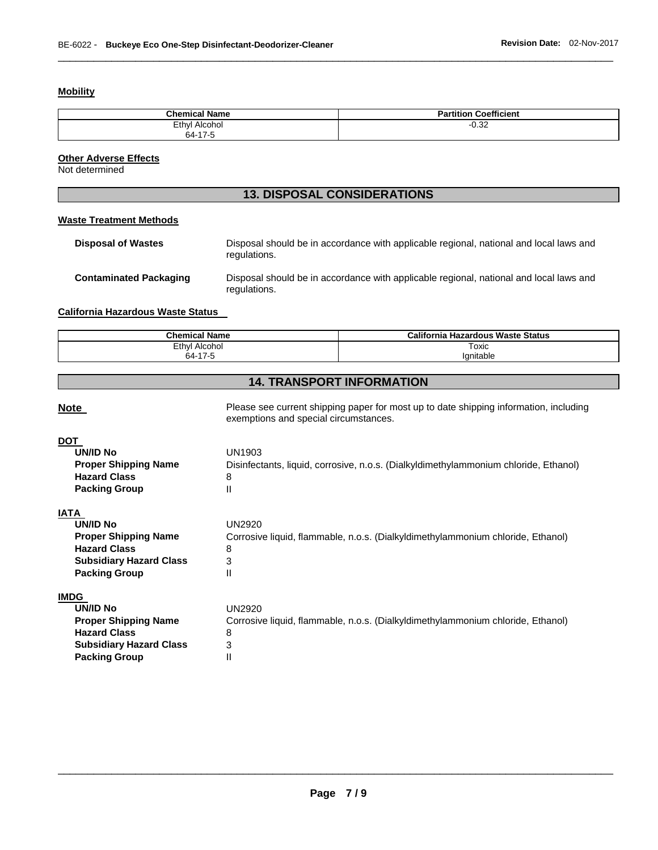# **Mobility**

| <b>Chemical Name</b> | <b>Partition Coefficient</b> |
|----------------------|------------------------------|
| Ethyl<br>Alcohol     | $-0.32$                      |
| 64-17-5              |                              |

\_\_\_\_\_\_\_\_\_\_\_\_\_\_\_\_\_\_\_\_\_\_\_\_\_\_\_\_\_\_\_\_\_\_\_\_\_\_\_\_\_\_\_\_\_\_\_\_\_\_\_\_\_\_\_\_\_\_\_\_\_\_\_\_\_\_\_\_\_\_\_\_\_\_\_\_\_\_\_\_\_\_\_\_\_\_\_\_\_\_\_\_\_

# **Other Adverse Effects**

Not determined

# **13. DISPOSAL CONSIDERATIONS**

# **Waste Treatment Methods**

| <b>Disposal of Wastes</b>     | Disposal should be in accordance with applicable regional, national and local laws and<br>regulations. |
|-------------------------------|--------------------------------------------------------------------------------------------------------|
| <b>Contaminated Packaging</b> | Disposal should be in accordance with applicable regional, national and local laws and<br>regulations. |

# **California Hazardous Waste Status**

| <b>Chemical Name</b>      | California<br>a Hazardous Waste Status |  |  |
|---------------------------|----------------------------------------|--|--|
| Ethyl<br>Alcohol          | Toxic                                  |  |  |
| .47F<br>64-′<br>ن- 11 - ` | Ignitable                              |  |  |

# **14. TRANSPORT INFORMATION**

| <b>Note</b>                    | Please see current shipping paper for most up to date shipping information, including<br>exemptions and special circumstances. |
|--------------------------------|--------------------------------------------------------------------------------------------------------------------------------|
| DOT                            |                                                                                                                                |
| <b>UN/ID No</b>                | UN1903                                                                                                                         |
| <b>Proper Shipping Name</b>    | Disinfectants, liquid, corrosive, n.o.s. (Dialkyldimethylammonium chloride, Ethanol)                                           |
| <b>Hazard Class</b>            | 8                                                                                                                              |
| <b>Packing Group</b>           | $\mathsf{II}$                                                                                                                  |
| IATA                           |                                                                                                                                |
| <b>UN/ID No</b>                | <b>UN2920</b>                                                                                                                  |
| <b>Proper Shipping Name</b>    | Corrosive liquid, flammable, n.o.s. (Dialkyldimethylammonium chloride, Ethanol)                                                |
| <b>Hazard Class</b>            | 8                                                                                                                              |
| <b>Subsidiary Hazard Class</b> | 3                                                                                                                              |
| <b>Packing Group</b>           | $\mathsf{II}$                                                                                                                  |
| IMDG                           |                                                                                                                                |
| <b>UN/ID No</b>                | <b>UN2920</b>                                                                                                                  |
| <b>Proper Shipping Name</b>    | Corrosive liquid, flammable, n.o.s. (Dialkyldimethylammonium chloride, Ethanol)                                                |
| <b>Hazard Class</b>            | 8                                                                                                                              |
| <b>Subsidiary Hazard Class</b> | 3                                                                                                                              |
| <b>Packing Group</b>           | $\mathsf{I}$                                                                                                                   |
|                                |                                                                                                                                |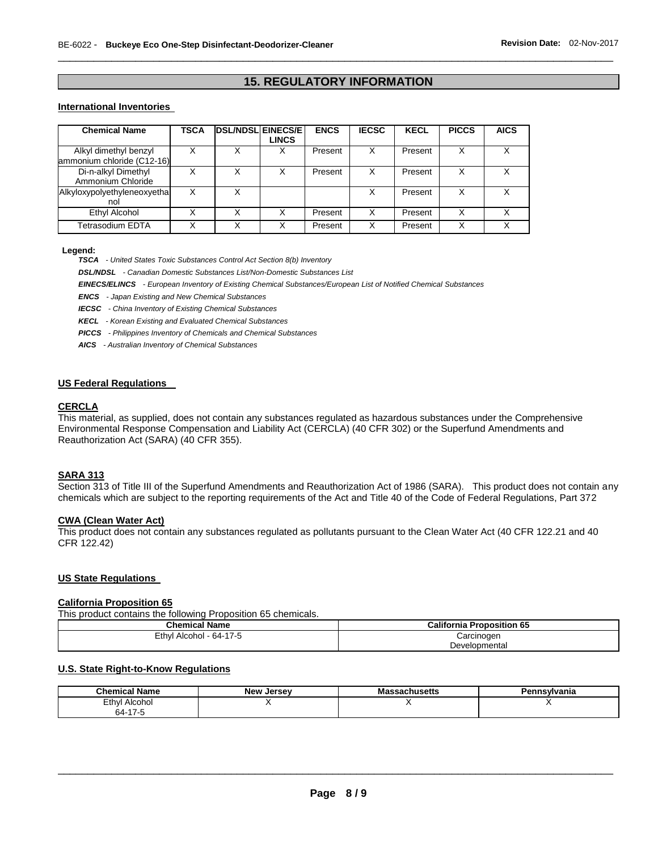# **15. REGULATORY INFORMATION**

\_\_\_\_\_\_\_\_\_\_\_\_\_\_\_\_\_\_\_\_\_\_\_\_\_\_\_\_\_\_\_\_\_\_\_\_\_\_\_\_\_\_\_\_\_\_\_\_\_\_\_\_\_\_\_\_\_\_\_\_\_\_\_\_\_\_\_\_\_\_\_\_\_\_\_\_\_\_\_\_\_\_\_\_\_\_\_\_\_\_\_\_\_

# **International Inventories**

| <b>Chemical Name</b>                                | TSCA | <b>DSL/NDSL EINECS/E</b> | <b>LINCS</b> | <b>ENCS</b> | <b>IECSC</b> | <b>KECL</b> | <b>PICCS</b> | <b>AICS</b> |
|-----------------------------------------------------|------|--------------------------|--------------|-------------|--------------|-------------|--------------|-------------|
| Alkyl dimethyl benzyl<br>ammonium chloride (C12-16) |      | Χ                        | х            | Present     | X            | Present     | X            | x           |
| Di-n-alkyl Dimethyl<br>Ammonium Chloride            |      | Χ                        |              | Present     | X            | Present     | X            |             |
| Alkyloxypolyethyleneoxyetha<br>nol                  |      | Χ                        |              |             |              | Present     | X            |             |
| Ethyl Alcohol                                       |      | Χ                        | x            | Present     | х            | Present     | x            |             |
| Tetrasodium EDTA                                    |      |                          |              | Present     | х            | Present     | x            |             |

#### **Legend:**

*TSCA - United States Toxic Substances Control Act Section 8(b) Inventory* 

*DSL/NDSL - Canadian Domestic Substances List/Non-Domestic Substances List* 

*EINECS/ELINCS - European Inventory of Existing Chemical Substances/European List of Notified Chemical Substances* 

*ENCS - Japan Existing and New Chemical Substances* 

*IECSC - China Inventory of Existing Chemical Substances* 

*KECL - Korean Existing and Evaluated Chemical Substances* 

*PICCS - Philippines Inventory of Chemicals and Chemical Substances* 

*AICS - Australian Inventory of Chemical Substances* 

# **US Federal Regulations**

## **CERCLA**

This material, as supplied, does not contain any substances regulated as hazardous substances under the Comprehensive Environmental Response Compensation and Liability Act (CERCLA) (40 CFR 302) or the Superfund Amendments and Reauthorization Act (SARA) (40 CFR 355).

## **SARA 313**

Section 313 of Title III of the Superfund Amendments and Reauthorization Act of 1986 (SARA). This product does not contain any chemicals which are subject to the reporting requirements of the Act and Title 40 of the Code of Federal Regulations, Part 372

#### **CWA (Clean Water Act)**

This product does not contain any substances regulated as pollutants pursuant to the Clean Water Act (40 CFR 122.21 and 40 CFR 122.42)

## **US State Regulations**

#### **California Proposition 65**

This product contains the following Proposition 65 chemicals.

| <b>Chemical Name</b>    | <b>California Proposition 65</b> |
|-------------------------|----------------------------------|
| Ethyl Alcohol - 64-17-5 | Carcinogen                       |
|                         | Developmental                    |

#### **U.S. State Right-to-Know Regulations**

| <b>Chemical Name</b> | <b>New Jersey</b> | <b>เรลchusetts</b><br>ша | Pennsvlvania |
|----------------------|-------------------|--------------------------|--------------|
| Ethyl<br>Alcohol     |                   |                          |              |
| $\rightarrow$<br>64- |                   |                          |              |